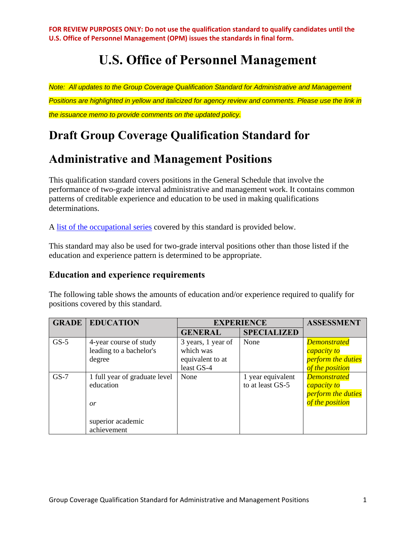# **U.S. Office of Personnel Management**

*Note: All updates to the Group Coverage Qualification Standard for Administrative and Management Positions are highlighted in yellow and italicized for agency review and comments. Please use the link in the issuance memo to provide comments on the updated policy.* 

## **Draft Group Coverage Qualification Standard for**

## **Administrative and Management Positions**

This qualification standard covers positions in the General Schedule that involve the performance of two-grade interval administrative and management work. It contains common patterns of creditable experience and education to be used in making qualifications determinations.

A [list of the occupational series](https://www.opm.gov/policy-data-oversight/classification-qualifications/general-schedule-qualification-standards/#GS-ADMIN-OCCUPATIONS) covered by this standard is provided below.

This standard may also be used for two-grade interval positions other than those listed if the education and experience pattern is determined to be appropriate.

## **Education and experience requirements**

The following table shows the amounts of education and/or experience required to qualify for positions covered by this standard.

| <b>GRADE</b> | <b>EDUCATION</b>                                                                     | <b>EXPERIENCE</b>                                                 |                                       | <b>ASSESSMENT</b>                                                           |
|--------------|--------------------------------------------------------------------------------------|-------------------------------------------------------------------|---------------------------------------|-----------------------------------------------------------------------------|
|              |                                                                                      | <b>GENERAL</b>                                                    | <b>SPECIALIZED</b>                    |                                                                             |
| $GS-5$       | 4-year course of study<br>leading to a bachelor's<br>degree                          | 3 years, 1 year of<br>which was<br>equivalent to at<br>least GS-4 | None                                  | <b>Demonstrated</b><br>capacity to<br>perform the duties<br>of the position |
| $GS-7$       | 1 full year of graduate level<br>education<br>or<br>superior academic<br>achievement | None                                                              | 1 year equivalent<br>to at least GS-5 | Demonstrated<br>capacity to<br>perform the duties<br>of the position        |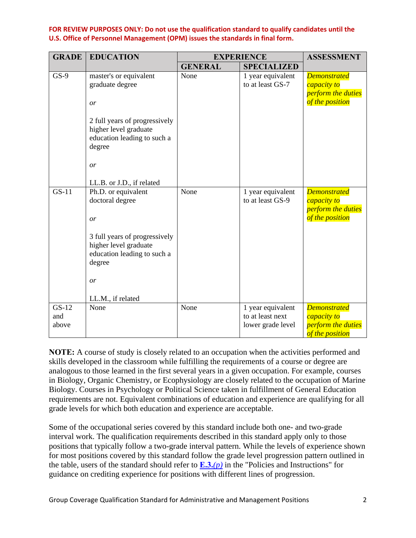| <b>GRADE</b>            | <b>EDUCATION</b>                                                                                                                                                                      | <b>EXPERIENCE</b> |                                                            | <b>ASSESSMENT</b>                                                           |
|-------------------------|---------------------------------------------------------------------------------------------------------------------------------------------------------------------------------------|-------------------|------------------------------------------------------------|-----------------------------------------------------------------------------|
|                         |                                                                                                                                                                                       | <b>GENERAL</b>    | <b>SPECIALIZED</b>                                         |                                                                             |
| $GS-9$                  | master's or equivalent<br>graduate degree<br>or<br>2 full years of progressively<br>higher level graduate<br>education leading to such a<br>degree<br>or<br>LL.B. or J.D., if related | None              | 1 year equivalent<br>to at least GS-7                      | <b>Demonstrated</b><br>capacity to<br>perform the duties<br>of the position |
| $GS-11$                 | Ph.D. or equivalent<br>doctoral degree<br>or<br>3 full years of progressively<br>higher level graduate<br>education leading to such a<br>degree<br>or<br>LL.M., if related            | None              | 1 year equivalent<br>to at least GS-9                      | <b>Demonstrated</b><br>capacity to<br>perform the duties<br>of the position |
| $GS-12$<br>and<br>above | None                                                                                                                                                                                  | None              | 1 year equivalent<br>to at least next<br>lower grade level | <b>Demonstrated</b><br>capacity to<br>perform the duties<br>of the position |

**NOTE:** A course of study is closely related to an occupation when the activities performed and skills developed in the classroom while fulfilling the requirements of a course or degree are analogous to those learned in the first several years in a given occupation. For example, courses in Biology, Organic Chemistry, or Ecophysiology are closely related to the occupation of Marine Biology. Courses in Psychology or Political Science taken in fulfillment of General Education requirements are not. Equivalent combinations of education and experience are qualifying for all grade levels for which both education and experience are acceptable.

Some of the occupational series covered by this standard include both one- and two-grade interval work. The qualification requirements described in this standard apply only to those positions that typically follow a two-grade interval pattern. While the levels of experience shown for most positions covered by this standard follow the grade level progression pattern outlined in the table, users of the standard should refer to  $\mathbf{E}.3(p)$  in the "Policies and Instructions" for guidance on crediting experience for positions with different lines of progression.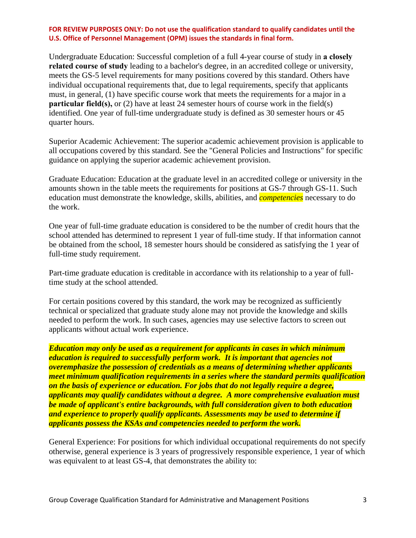Undergraduate Education: Successful completion of a full 4-year course of study in **a closely related course of study** leading to a bachelor's degree, in an accredited college or university, meets the GS-5 level requirements for many positions covered by this standard. Others have individual occupational requirements that, due to legal requirements, specify that applicants must, in general, (1) have specific course work that meets the requirements for a major in a **particular field(s),** or (2) have at least 24 semester hours of course work in the field(s) identified. One year of full-time undergraduate study is defined as 30 semester hours or 45 quarter hours.

Superior Academic Achievement: The superior academic achievement provision is applicable to all occupations covered by this standard. See the "General Policies and Instructions" for specific guidance on applying the superior academic achievement provision.

Graduate Education: Education at the graduate level in an accredited college or university in the amounts shown in the table meets the requirements for positions at GS-7 through GS-11. Such education must demonstrate the knowledge, skills, abilities, and *competencies* necessary to do the work.

One year of full-time graduate education is considered to be the number of credit hours that the school attended has determined to represent 1 year of full-time study. If that information cannot be obtained from the school, 18 semester hours should be considered as satisfying the 1 year of full-time study requirement.

Part-time graduate education is creditable in accordance with its relationship to a year of fulltime study at the school attended.

For certain positions covered by this standard, the work may be recognized as sufficiently technical or specialized that graduate study alone may not provide the knowledge and skills needed to perform the work. In such cases, agencies may use selective factors to screen out applicants without actual work experience.

*Education may only be used as a requirement for applicants in cases in which minimum education is required to successfully perform work. It is important that agencies not overemphasize the possession of credentials as a means of determining whether applicants meet minimum qualification requirements in a series where the standard permits qualification on the basis of experience or education. For jobs that do not legally require a degree, applicants may qualify candidates without a degree. A more comprehensive evaluation must be made of applicant's entire backgrounds, with full consideration given to both education and experience to properly qualify applicants. Assessments may be used to determine if applicants possess the KSAs and competencies needed to perform the work.*

General Experience: For positions for which individual occupational requirements do not specify otherwise, general experience is 3 years of progressively responsible experience, 1 year of which was equivalent to at least GS-4, that demonstrates the ability to: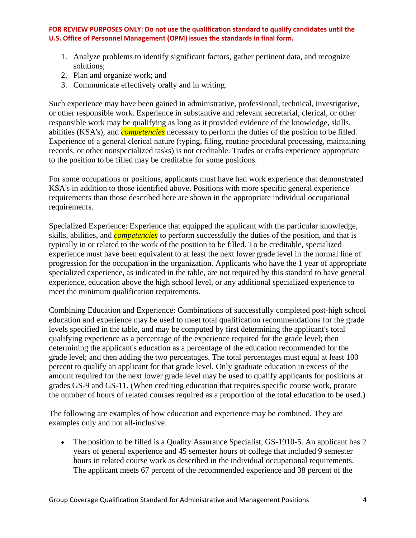- 1. Analyze problems to identify significant factors, gather pertinent data, and recognize solutions;
- 2. Plan and organize work; and
- 3. Communicate effectively orally and in writing.

Such experience may have been gained in administrative, professional, technical, investigative, or other responsible work. Experience in substantive and relevant secretarial, clerical, or other responsible work may be qualifying as long as it provided evidence of the knowledge, skills, abilities (KSA's), and *competencies* necessary to perform the duties of the position to be filled. Experience of a general clerical nature (typing, filing, routine procedural processing, maintaining records, or other nonspecialized tasks) is not creditable. Trades or crafts experience appropriate to the position to be filled may be creditable for some positions.

For some occupations or positions, applicants must have had work experience that demonstrated KSA's in addition to those identified above. Positions with more specific general experience requirements than those described here are shown in the appropriate individual occupational requirements.

Specialized Experience: Experience that equipped the applicant with the particular knowledge, skills, abilities, and *competencies* to perform successfully the duties of the position, and that is typically in or related to the work of the position to be filled. To be creditable, specialized experience must have been equivalent to at least the next lower grade level in the normal line of progression for the occupation in the organization. Applicants who have the 1 year of appropriate specialized experience, as indicated in the table, are not required by this standard to have general experience, education above the high school level, or any additional specialized experience to meet the minimum qualification requirements.

Combining Education and Experience: Combinations of successfully completed post-high school education and experience may be used to meet total qualification recommendations for the grade levels specified in the table, and may be computed by first determining the applicant's total qualifying experience as a percentage of the experience required for the grade level; then determining the applicant's education as a percentage of the education recommended for the grade level; and then adding the two percentages. The total percentages must equal at least 100 percent to qualify an applicant for that grade level. Only graduate education in excess of the amount required for the next lower grade level may be used to qualify applicants for positions at grades GS-9 and GS-11. (When crediting education that requires specific course work, prorate the number of hours of related courses required as a proportion of the total education to be used.)

The following are examples of how education and experience may be combined. They are examples only and not all-inclusive.

The position to be filled is a Quality Assurance Specialist, GS-1910-5. An applicant has 2 years of general experience and 45 semester hours of college that included 9 semester hours in related course work as described in the individual occupational requirements. The applicant meets 67 percent of the recommended experience and 38 percent of the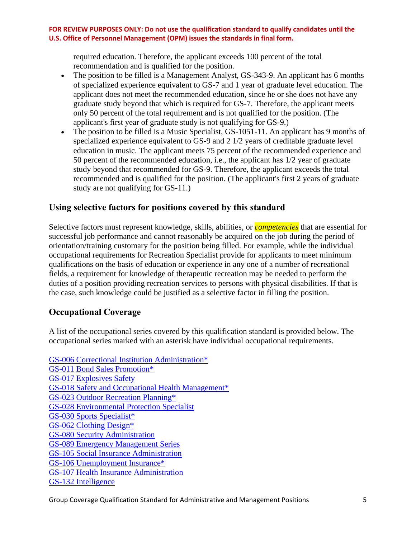required education. Therefore, the applicant exceeds 100 percent of the total recommendation and is qualified for the position.

- The position to be filled is a Management Analyst, GS-343-9. An applicant has 6 months of specialized experience equivalent to GS-7 and 1 year of graduate level education. The applicant does not meet the recommended education, since he or she does not have any graduate study beyond that which is required for GS-7. Therefore, the applicant meets only 50 percent of the total requirement and is not qualified for the position. (The applicant's first year of graduate study is not qualifying for GS-9.)
- The position to be filled is a Music Specialist, GS-1051-11. An applicant has 9 months of specialized experience equivalent to GS-9 and 2 1/2 years of creditable graduate level education in music. The applicant meets 75 percent of the recommended experience and 50 percent of the recommended education, i.e., the applicant has 1/2 year of graduate study beyond that recommended for GS-9. Therefore, the applicant exceeds the total recommended and is qualified for the position. (The applicant's first 2 years of graduate study are not qualifying for GS-11.)

## **Using selective factors for positions covered by this standard**

Selective factors must represent knowledge, skills, abilities, or *competencies* that are essential for successful job performance and cannot reasonably be acquired on the job during the period of orientation/training customary for the position being filled. For example, while the individual occupational requirements for Recreation Specialist provide for applicants to meet minimum qualifications on the basis of education or experience in any one of a number of recreational fields, a requirement for knowledge of therapeutic recreation may be needed to perform the duties of a position providing recreation services to persons with physical disabilities. If that is the case, such knowledge could be justified as a selective factor in filling the position.

## **Occupational Coverage**

A list of the occupational series covered by this qualification standard is provided below. The occupational series marked with an asterisk have individual occupational requirements.

[GS-006 Correctional Institution Administration\\*](https://www.opm.gov/policy-data-oversight/classification-qualifications/general-schedule-qualification-standards/0000/correctional-institution-administration-series-0006/) [GS-011 Bond Sales Promotion\\*](https://www.opm.gov/policy-data-oversight/classification-qualifications/general-schedule-qualification-standards/0000/bond-sales-promotion-series-0011/) [GS-017 Explosives Safety](https://www.opm.gov/policy-data-oversight/classification-qualifications/general-schedule-qualification-standards/0000/explosives-safety-0017/) [GS-018 Safety and Occupational Health Management\\*](https://www.opm.gov/policy-data-oversight/classification-qualifications/general-schedule-qualification-standards/0000/safety-and-occupational-health-management-series-0018/) [GS-023 Outdoor Recreation Planning](https://www.opm.gov/policy-data-oversight/classification-qualifications/general-schedule-qualification-standards/0000/outdoor-recreation-planning-series-0023/)[\\*](#page-7-0) [GS-028 Environmental Protection Specialist](https://www.opm.gov/policy-data-oversight/classification-qualifications/general-schedule-qualification-standards/0000/environmental-protection-specialist-series-0028/) [GS-030 Sports Specialist\\*](https://www.opm.gov/policy-data-oversight/classification-qualifications/general-schedule-qualification-standards/0000/sports-specialist-series-0030/) [GS-062 Clothing Design\\*](https://www.opm.gov/policy-data-oversight/classification-qualifications/general-schedule-qualification-standards/0000/clothing-design-series-0062/) [GS-080 Security Administration](https://www.opm.gov/policy-data-oversight/classification-qualifications/general-schedule-qualification-standards/0000/security-administration-series-0080/) [GS-089 Emergency Management Series](https://www.opm.gov/policy-data-oversight/classification-qualifications/general-schedule-qualification-standards/0000/emergency-management-series-0089/) [GS-105 Social Insurance Administration](https://www.opm.gov/policy-data-oversight/classification-qualifications/general-schedule-qualification-standards/0100/social-insurance-administration-series-0105/) [GS-106 Unemployment Insurance\\*](https://www.opm.gov/policy-data-oversight/classification-qualifications/general-schedule-qualification-standards/0100/unemployment-insurance-series-0106/) [GS-107 Health Insurance Administration](https://www.opm.gov/policy-data-oversight/classification-qualifications/general-schedule-qualification-standards/0100/health-insurance-administration-series-0107/) [GS-132 Intelligence](https://www.opm.gov/policy-data-oversight/classification-qualifications/general-schedule-qualification-standards/0100/intelligence-series-0132/)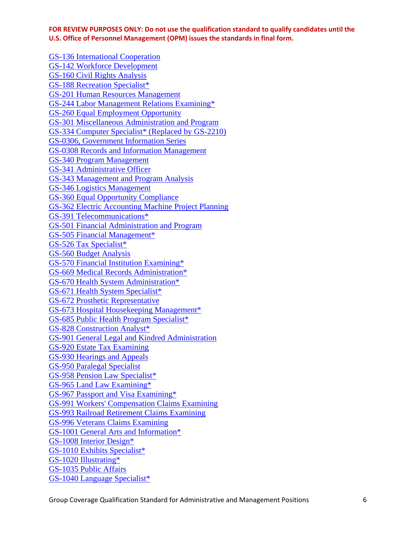[GS-136 International Cooperation](https://www.opm.gov/policy-data-oversight/classification-qualifications/general-schedule-qualification-standards/0100/international-cooperation-series-0136/) [GS-142 Workforce Development](https://www.opm.gov/policy-data-oversight/classification-qualifications/general-schedule-qualification-standards/0100/manpower-development-series-0142/) [GS-160 Civil Rights Analysis](https://www.opm.gov/policy-data-oversight/classification-qualifications/general-schedule-qualification-standards/0100/civil-rights-analysis-series-0160/) [GS-188 Recreation Specialist](https://www.opm.gov/policy-data-oversight/classification-qualifications/general-schedule-qualification-standards/0100/recreation-specialist-series-0188/)[\\*](#page-7-0) [GS-201 Human Resources Management](https://www.opm.gov/policy-data-oversight/classification-qualifications/general-schedule-qualification-standards/0200/human-resources-management-series-0201/) [GS-244 Labor Management Relations Examining\\*](https://www.opm.gov/policy-data-oversight/classification-qualifications/general-schedule-qualification-standards/0200/labor-management-relations-examining-series-0244/) [GS-260 Equal Employment Opportunity](https://www.opm.gov/policy-data-oversight/classification-qualifications/general-schedule-qualification-standards/0200/equal-employment-opportunity-series-0260/) [GS-301 Miscellaneous Administration and Program](https://www.opm.gov/policy-data-oversight/classification-qualifications/general-schedule-qualification-standards/0300/miscellaneous-administration-and-program-series-0301/) [GS-334 Computer Specialist](https://www.opm.gov/policy-data-oversight/classification-qualifications/general-schedule-qualification-standards/0300/gs-2210-information-technology-management-series/)[\\*](#page-7-0) [\(Replaced by GS-2210\)](https://www.opm.gov/policy-data-oversight/classification-qualifications/general-schedule-qualification-standards/0300/gs-2210-information-technology-management-series/)  [GS-0306, Government Information Series](https://www.opm.gov/policy-data-oversight/classification-qualifications/general-schedule-qualification-standards/0300/government-information-series-0306/) [GS-0308 Records and Information Management](https://www.opm.gov/policy-data-oversight/classification-qualifications/general-schedule-qualification-standards/0300/records-and-information-series-0308/) [GS-340 Program Management](https://www.opm.gov/policy-data-oversight/classification-qualifications/general-schedule-qualification-standards/0300/program-management-series-0340/) [GS-341 Administrative Officer](https://www.opm.gov/policy-data-oversight/classification-qualifications/general-schedule-qualification-standards/0300/administrative-officer-series-0341/) [GS-343 Management and Program Analysis](https://www.opm.gov/policy-data-oversight/classification-qualifications/general-schedule-qualification-standards/0300/management-and-program-analysis-series-0343/) [GS-346 Logistics Management](https://www.opm.gov/policy-data-oversight/classification-qualifications/general-schedule-qualification-standards/0300/logistics-management-series-0346/) [GS-360 Equal Opportunity Compliance](https://www.opm.gov/policy-data-oversight/classification-qualifications/general-schedule-qualification-standards/0300/equal-opportunity-compliance-series-0360/) [GS-362 Electric Accounting Machine Project Planning](https://www.opm.gov/policy-data-oversight/classification-qualifications/general-schedule-qualification-standards/0300/electric-accounting-machine-project-planning-series-0362/) [GS-391 Telecommunications\\*](https://www.opm.gov/policy-data-oversight/classification-qualifications/general-schedule-qualification-standards/0300/telecommunications-series-0391/) [GS-501 Financial Administration and Program](https://www.opm.gov/policy-data-oversight/classification-qualifications/general-schedule-qualification-standards/0500/financial-administration-and-program-series-0501/) [GS-505 Financial Management](https://www.opm.gov/policy-data-oversight/classification-qualifications/general-schedule-qualification-standards/0500/financial-management-series-0505/)[\\*](#page-7-0) [GS-526 Tax Specialist\\*](https://www.opm.gov/policy-data-oversight/classification-qualifications/general-schedule-qualification-standards/0500/tax-specialist-series-0526/) [GS-560 Budget Analysis](https://www.opm.gov/policy-data-oversight/classification-qualifications/general-schedule-qualification-standards/0500/budget-analysis-series-0560/) [GS-570 Financial Institution Examining\\*](https://www.opm.gov/policy-data-oversight/classification-qualifications/general-schedule-qualification-standards/0500/financial-institution-examining-series-0570/) [GS-669 Medical Records Administration](https://www.opm.gov/policy-data-oversight/classification-qualifications/general-schedule-qualification-standards/0600/medical-records-administration-series-0669/)[\\*](#page-7-0) [GS-670 Health System Administration](https://www.opm.gov/policy-data-oversight/classification-qualifications/general-schedule-qualification-standards/0600/health-system-administration-series-0670/)[\\*](#page-7-0) [GS-671 Health System Specialist\\*](https://www.opm.gov/policy-data-oversight/classification-qualifications/general-schedule-qualification-standards/0600/health-system-administration-series-0671/) [GS-672 Prosthetic Representative](https://www.opm.gov/policy-data-oversight/classification-qualifications/general-schedule-qualification-standards/0600/prosthetic-representative-series-0672/) [GS-673 Hospital Housekeeping Management\\*](https://www.opm.gov/policy-data-oversight/classification-qualifications/general-schedule-qualification-standards/0600/hospital-housekeeping-management-series-0673/) [GS-685 Public Health Program Specialist](https://www.opm.gov/policy-data-oversight/classification-qualifications/general-schedule-qualification-standards/0600/public-health-program-specialist-series-0685/)[\\*](#page-7-0) [GS-828 Construction Analyst](https://www.opm.gov/policy-data-oversight/classification-qualifications/general-schedule-qualification-standards/0800/construction-analyst-series-0828/)[\\*](#page-7-0) [GS-901 General Legal and Kindred Administration](https://www.opm.gov/policy-data-oversight/classification-qualifications/general-schedule-qualification-standards/0900/general-legal-and-kindred-administration-series-0901/) [GS-920 Estate Tax Examining](https://www.opm.gov/policy-data-oversight/classification-qualifications/general-schedule-qualification-standards/0900/estate-tax-examining-series-0920/) [GS-930 Hearings and Appeals](https://www.opm.gov/policy-data-oversight/classification-qualifications/general-schedule-qualification-standards/0900/hearings-and-appeals-series-0930/) [GS-950 Paralegal Specialist](https://www.opm.gov/policy-data-oversight/classification-qualifications/general-schedule-qualification-standards/0900/paralegal-specialist-series-0950/) [GS-958 Pension Law Specialist](https://www.opm.gov/policy-data-oversight/classification-qualifications/general-schedule-qualification-standards/0900/pension-law-specialist-series-0958/)[\\*](#page-7-0) [GS-965 Land Law Examining\\*](https://www.opm.gov/policy-data-oversight/classification-qualifications/general-schedule-qualification-standards/0900/land-law-examining-series-0965/) [GS-967 Passport and Visa Examining\\*](https://www.opm.gov/policy-data-oversight/classification-qualifications/general-schedule-qualification-standards/0900/passport-and-visa-examining-series-0967/) [GS-991 Workers' Compensation Claims Examining](https://www.opm.gov/policy-data-oversight/classification-qualifications/general-schedule-qualification-standards/0900/workers-compensation-claims-examining-series-0991/) [GS-993 Railroad Retirement Claims Examining](https://www.opm.gov/policy-data-oversight/classification-qualifications/general-schedule-qualification-standards/0900/railroad-retirement-claims-examining-series-0993/) [GS-996 Veterans Claims Examining](https://www.opm.gov/policy-data-oversight/classification-qualifications/general-schedule-qualification-standards/0900/veteran-claims-examining-series-0996/) [GS-1001 General Arts and Information\\*](https://www.opm.gov/policy-data-oversight/classification-qualifications/general-schedule-qualification-standards/1000/general-arts-and-information-series-1001-two-grade-interval-positions/) [GS-1008 Interior Design\\*](https://www.opm.gov/policy-data-oversight/classification-qualifications/general-schedule-qualification-standards/1000/interior-design-series-1008/) [GS-1010 Exhibits Specialist\\*](https://www.opm.gov/policy-data-oversight/classification-qualifications/general-schedule-qualification-standards/1000/exhibits-specialist-series-1010/) [GS-1020 Illustrating](https://www.opm.gov/policy-data-oversight/classification-qualifications/general-schedule-qualification-standards/1000/illustrating-series-1020/)[\\*](#page-7-0) [GS-1035 Public Affairs](https://www.opm.gov/policy-data-oversight/classification-qualifications/general-schedule-qualification-standards/1000/public-affairs-series-1035/) [GS-1040 Language Specialist\\*](https://www.opm.gov/policy-data-oversight/classification-qualifications/general-schedule-qualification-standards/1000/language-specialist-series-1040/)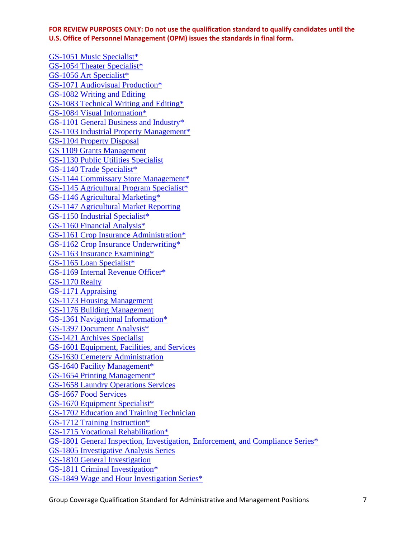[GS-1051 Music Specialist\\*](https://www.opm.gov/policy-data-oversight/classification-qualifications/general-schedule-qualification-standards/1000/music-specialist-series-1051/) [GS-1054 Theater Specialist\\*](https://www.opm.gov/policy-data-oversight/classification-qualifications/general-schedule-qualification-standards/1000/theater-specialist-series-1054/) [GS-1056 Art Specialist\\*](https://www.opm.gov/policy-data-oversight/classification-qualifications/general-schedule-qualification-standards/1000/art-specialist-series-1056/) [GS-1071 Audiovisual Production](https://www.opm.gov/policy-data-oversight/classification-qualifications/general-schedule-qualification-standards/1000/audiovisual-production-series-1071/)[\\*](#page-7-0) [GS-1082 Writing and Editing](https://www.opm.gov/policy-data-oversight/classification-qualifications/general-schedule-qualification-standards/1000/writing-and-editing-series-1082/) [GS-1083 Technical Writing and Editing\\*](https://www.opm.gov/policy-data-oversight/classification-qualifications/general-schedule-qualification-standards/1000/technical-writing-and-editing-series-1083/) [GS-1084 Visual Information\\*](https://www.opm.gov/policy-data-oversight/classification-qualifications/general-schedule-qualification-standards/1000/visual-information-series-1084/) [GS-1101 General Business and Industry\\*](https://www.opm.gov/policy-data-oversight/classification-qualifications/general-schedule-qualification-standards/1100/general-business-and-industry-series-1101b/) [GS-1103 Industrial Property Management](https://www.opm.gov/policy-data-oversight/classification-qualifications/general-schedule-qualification-standards/1100/industrial-property-management-series-1103/)[\\*](#page-7-0) [GS-1104 Property Disposal](https://www.opm.gov/policy-data-oversight/classification-qualifications/general-schedule-qualification-standards/1100/property-disposal-series-1104/) [GS 1109 Grants Management](https://www.opm.gov/policy-data-oversight/classification-qualifications/general-schedule-qualification-standards/1100/grants-management-series-1109/) [GS-1130 Public Utilities Specialist](https://www.opm.gov/policy-data-oversight/classification-qualifications/general-schedule-qualification-standards/1100/public-utilities-specialist-series-1130/) [GS-1140 Trade Specialist\\*](https://www.opm.gov/policy-data-oversight/classification-qualifications/general-schedule-qualification-standards/1100/trade-specialist-series-1140a/) [GS-1144 Commissary Store Management](https://www.opm.gov/policy-data-oversight/classification-qualifications/general-schedule-qualification-standards/1100/commissary-management-series-1144/)[\\*](#page-7-0) [GS-1145 Agricultural Program Specialist](https://www.opm.gov/policy-data-oversight/classification-qualifications/general-schedule-qualification-standards/1100/agricultural-program-specialist-series-1145/)[\\*](#page-7-0) [GS-1146 Agricultural Marketing\\*](https://www.opm.gov/policy-data-oversight/classification-qualifications/general-schedule-qualification-standards/1100/agricultural-marketing-series-1146/) [GS-1147 Agricultural Market Reporting](https://www.opm.gov/policy-data-oversight/classification-qualifications/general-schedule-qualification-standards/1100/agricultural-market-reporting-series-1147/) [GS-1150 Industrial Specialist\\*](https://www.opm.gov/policy-data-oversight/classification-qualifications/general-schedule-qualification-standards/1100/industrial-specialist-series-1150/) [GS-1160 Financial Analysis](https://www.opm.gov/policy-data-oversight/classification-qualifications/general-schedule-qualification-standards/1100/financial-analysis-series-1160/)[\\*](#page-7-0) [GS-1161 Crop Insurance Administration](https://www.opm.gov/policy-data-oversight/classification-qualifications/general-schedule-qualification-standards/1100/crop-insurance-administration-series-1161/)[\\*](#page-7-0) [GS-1162 Crop Insurance Underwriting\\*](https://www.opm.gov/policy-data-oversight/classification-qualifications/general-schedule-qualification-standards/1100/crop-insurance-underwriting-series-1162/) [GS-1163 Insurance Examining\\*](https://www.opm.gov/policy-data-oversight/classification-qualifications/general-schedule-qualification-standards/1100/insurance-examining-series-1163/) [GS-1165 Loan Specialist\\*](https://www.opm.gov/policy-data-oversight/classification-qualifications/general-schedule-qualification-standards/1100/loan-specialist-series-1165/) [GS-1169 Internal Revenue Officer](https://www.opm.gov/policy-data-oversight/classification-qualifications/general-schedule-qualification-standards/1100/internal-revenue-officer-series-1169/)[\\*](#page-7-0) [GS-1170 Realty](https://www.opm.gov/policy-data-oversight/classification-qualifications/general-schedule-qualification-standards/1100/realty-series-1170/) [GS-1171 Appraising](https://www.opm.gov/policy-data-oversight/classification-qualifications/general-schedule-qualification-standards/1100/appraising-series-1171/) [GS-1173 Housing Management](https://www.opm.gov/policy-data-oversight/classification-qualifications/general-schedule-qualification-standards/1100/housing-management-series-1173/) [GS-1176 Building Management](https://www.opm.gov/policy-data-oversight/classification-qualifications/general-schedule-qualification-standards/1100/building-management-series-1176/) [GS-1361 Navigational Information](https://www.opm.gov/policy-data-oversight/classification-qualifications/general-schedule-qualification-standards/1300/navigational-information-series-1361/)[\\*](#page-7-0) [GS-1397 Document Analysis](https://www.opm.gov/policy-data-oversight/classification-qualifications/general-schedule-qualification-standards/1300/document-analysis-series-1397/)[\\*](#page-7-0) [GS-1421 Archives Specialist](https://www.opm.gov/policy-data-oversight/classification-qualifications/general-schedule-qualification-standards/1400/archives-technician-series-1421b/) [GS-1601 Equipment, Facilities, and Services](https://www.opm.gov/policy-data-oversight/classification-qualifications/general-schedule-qualification-standards/1600/equipment-facilities-and-services-series-1601/) [GS-1630 Cemetery Administration](https://www.opm.gov/policy-data-oversight/classification-qualifications/general-schedule-qualification-standards/1600/cemetery-administration-services-series-1630/) [GS-1640 Facility Management](https://www.opm.gov/policy-data-oversight/classification-qualifications/general-schedule-qualification-standards/1600/facility-operations-services-series-1640/)[\\*](#page-7-0) [GS-1654 Printing Management](https://www.opm.gov/policy-data-oversight/classification-qualifications/general-schedule-qualification-standards/1600/printing-services-series-1654/)[\\*](#page-7-0) [GS-1658 Laundry Operations Services](https://www.opm.gov/policy-data-oversight/classification-qualifications/general-schedule-qualification-standards/1600/laundry-operations-services-series-1658/) [GS-1667 Food Services](https://www.opm.gov/policy-data-oversight/classification-qualifications/general-schedule-qualification-standards/1600/food-services-series-1667/) [GS-1670 Equipment Specialist\\*](https://www.opm.gov/policy-data-oversight/classification-qualifications/general-schedule-qualification-standards/1600/equipment-services-series-1670/) [GS-1702 Education and Training Technician](https://www.opm.gov/policy-data-oversight/classification-qualifications/general-schedule-qualification-standards/1700/education-and-training-technician-series-1702-two-grade-interval-positions/) [GS-1712 Training Instruction](https://www.opm.gov/policy-data-oversight/classification-qualifications/general-schedule-qualification-standards/1700/training-instruction-series-1712/)[\\*](#page-7-0) [GS-1715 Vocational Rehabilitation\\*](https://www.opm.gov/policy-data-oversight/classification-qualifications/general-schedule-qualification-standards/1700/vocational-rehabilitation-series-1715/) [GS-1801 General Inspection, Investigation, Enforcement, and Compliance Series\\*](https://www.opm.gov/policy-data-oversight/classification-qualifications/general-schedule-qualification-standards/1800/general-inspection-investigation-enforcement-and-compliance-series-1801/) [GS-1805 Investigative Analysis Series](https://www.opm.gov/policy-data-oversight/classification-qualifications/general-schedule-qualification-standards/1800/investigative-analysis-series-1805/) [GS-1810 General Investigation](https://www.opm.gov/policy-data-oversight/classification-qualifications/general-schedule-qualification-standards/1800/general-investigation-series-1810/) [GS-1811 Criminal Investigation](https://www.opm.gov/policy-data-oversight/classification-qualifications/general-schedule-qualification-standards/1800/criminal-investigation-series-1811/)[\\*](#page-7-0) [GS-1849 Wage and Hour Investigation Series\\*](https://www.opm.gov/policy-data-oversight/classification-qualifications/general-schedule-qualification-standards/1800/wage-and-hour-investigation-series-1849/)